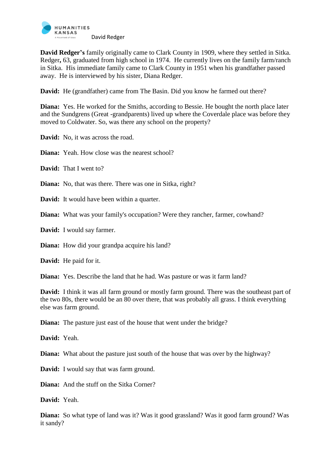

**David Redger's** family originally came to Clark County in 1909, where they settled in Sitka. Redger**,** 63, graduated from high school in 1974. He currently lives on the family farm/ranch in Sitka. His immediate family came to Clark County in 1951 when his grandfather passed away. He is interviewed by his sister, Diana Redger.

**David:** He (grandfather) came from The Basin. Did you know he farmed out there?

**Diana:** Yes. He worked for the Smiths, according to Bessie. He bought the north place later and the Sundgrens (Great -grandparents) lived up where the Coverdale place was before they moved to Coldwater. So, was there any school on the property?

**David:** No, it was across the road.

**Diana:** Yeah. How close was the nearest school?

**David:** That I went to?

**Diana:** No, that was there. There was one in Sitka, right?

**David:** It would have been within a quarter.

**Diana:** What was your family's occupation? Were they rancher, farmer, cowhand?

**David:** I would say farmer.

**Diana:** How did your grandpa acquire his land?

**David:** He paid for it.

**Diana:** Yes. Describe the land that he had. Was pasture or was it farm land?

**David:** I think it was all farm ground or mostly farm ground. There was the southeast part of the two 80s, there would be an 80 over there, that was probably all grass. I think everything else was farm ground.

**Diana:** The pasture just east of the house that went under the bridge?

**David:** Yeah.

**Diana:** What about the pasture just south of the house that was over by the highway?

**David:** I would say that was farm ground.

**Diana:** And the stuff on the Sitka Corner?

**David:** Yeah.

**Diana:** So what type of land was it? Was it good grassland? Was it good farm ground? Was it sandy?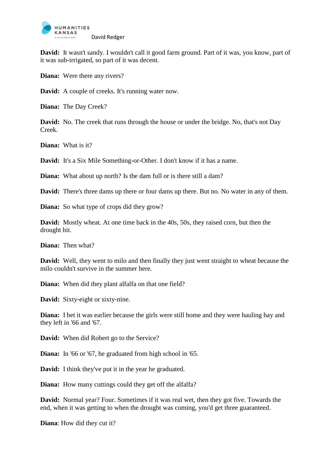

**David:** It wasn't sandy. I wouldn't call it good farm ground. Part of it was, you know, part of it was sub-irrigated, so part of it was decent.

**Diana:** Were there any rivers?

**David:** A couple of creeks. It's running water now.

**Diana:** The Day Creek?

**David:** No. The creek that runs through the house or under the bridge. No, that's not Day Creek.

**Diana:** What is it?

**David:** It's a Six Mile Something-or-Other. I don't know if it has a name.

**Diana:** What about up north? Is the dam full or is there still a dam?

**David:** There's three dams up there or four dams up there. But no. No water in any of them.

**Diana:** So what type of crops did they grow?

**David:** Mostly wheat. At one time back in the 40s, 50s, they raised corn, but then the drought hit.

**Diana:** Then what?

**David:** Well, they went to milo and then finally they just went straight to wheat because the milo couldn't survive in the summer here.

**Diana:** When did they plant alfalfa on that one field?

**David:** Sixty-eight or sixty-nine.

**Diana:** I bet it was earlier because the girls were still home and they were hauling hay and they left in '66 and '67.

**David:** When did Robert go to the Service?

**Diana:** In '66 or '67, he graduated from high school in '65.

**David:** I think they've put it in the year he graduated.

**Diana:** How many cuttings could they get off the alfalfa?

**David:** Normal year? Four. Sometimes if it was real wet, then they got five. Towards the end, when it was getting to when the drought was coming, you'd get three guaranteed.

**Diana**: How did they cut it?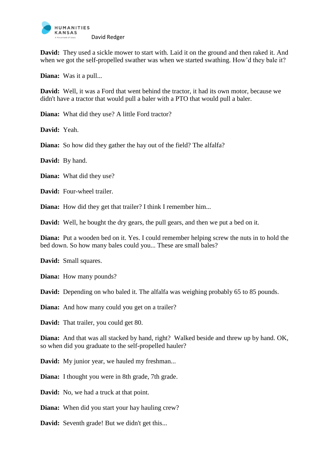

**David:** They used a sickle mower to start with. Laid it on the ground and then raked it. And when we got the self-propelled swather was when we started swathing. How'd they bale it?

**Diana:** Was it a pull...

**David:** Well, it was a Ford that went behind the tractor, it had its own motor, because we didn't have a tractor that would pull a baler with a PTO that would pull a baler.

**Diana:** What did they use? A little Ford tractor?

**David:** Yeah.

**Diana:** So how did they gather the hay out of the field? The alfalfa?

**David:** By hand.

**Diana:** What did they use?

**David:** Four-wheel trailer.

**Diana:** How did they get that trailer? I think I remember him...

**David:** Well, he bought the dry gears, the pull gears, and then we put a bed on it.

**Diana:** Put a wooden bed on it. Yes. I could remember helping screw the nuts in to hold the bed down. So how many bales could you... These are small bales?

**David:** Small squares.

**Diana:** How many pounds?

**David:** Depending on who baled it. The alfalfa was weighing probably 65 to 85 pounds.

**Diana:** And how many could you get on a trailer?

**David:** That trailer, you could get 80.

**Diana:** And that was all stacked by hand, right? Walked beside and threw up by hand. OK, so when did you graduate to the self-propelled hauler?

**David:** My junior year, we hauled my freshman...

**Diana:** I thought you were in 8th grade, 7th grade.

**David:** No, we had a truck at that point.

**Diana:** When did you start your hay hauling crew?

**David:** Seventh grade! But we didn't get this...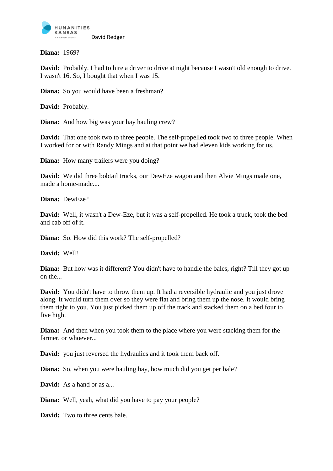

**Diana:** 1969?

**David:** Probably. I had to hire a driver to drive at night because I wasn't old enough to drive. I wasn't 16. So, I bought that when I was 15.

**Diana:** So you would have been a freshman?

**David:** Probably.

**Diana:** And how big was your hay hauling crew?

**David:** That one took two to three people. The self-propelled took two to three people. When I worked for or with Randy Mings and at that point we had eleven kids working for us.

**Diana:** How many trailers were you doing?

**David:** We did three bobtail trucks, our DewEze wagon and then Alvie Mings made one, made a home-made....

**Diana:** DewEze?

**David:** Well, it wasn't a Dew-Eze, but it was a self-propelled. He took a truck, took the bed and cab off of it.

**Diana:** So. How did this work? The self-propelled?

**David:** Well!

**Diana:** But how was it different? You didn't have to handle the bales, right? Till they got up on the...

**David:** You didn't have to throw them up. It had a reversible hydraulic and you just drove along. It would turn them over so they were flat and bring them up the nose. It would bring them right to you. You just picked them up off the track and stacked them on a bed four to five high.

**Diana:** And then when you took them to the place where you were stacking them for the farmer, or whoever...

**David:** you just reversed the hydraulics and it took them back off.

**Diana:** So, when you were hauling hay, how much did you get per bale?

**David:** As a hand or as a...

**Diana:** Well, yeah, what did you have to pay your people?

**David:** Two to three cents bale.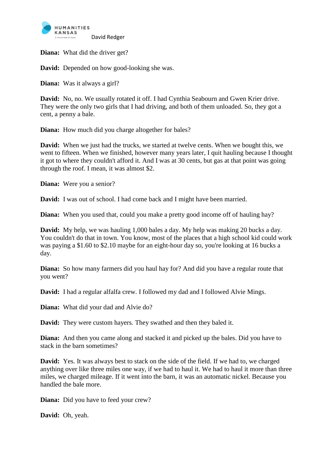

**Diana:** What did the driver get?

**David:** Depended on how good-looking she was.

**Diana:** Was it always a girl?

**David:** No, no. We usually rotated it off. I had Cynthia Seabourn and Gwen Krier drive. They were the only two girls that I had driving, and both of them unloaded. So, they got a cent, a penny a bale.

**Diana:** How much did you charge altogether for bales?

**David:** When we just had the trucks, we started at twelve cents. When we bought this, we went to fifteen. When we finished, however many years later, I quit hauling because I thought it got to where they couldn't afford it. And I was at 30 cents, but gas at that point was going through the roof. I mean, it was almost \$2.

**Diana:** Were you a senior?

**David:** I was out of school. I had come back and I might have been married.

**Diana:** When you used that, could you make a pretty good income off of hauling hay?

**David:** My help, we was hauling 1,000 bales a day. My help was making 20 bucks a day. You couldn't do that in town. You know, most of the places that a high school kid could work was paying a \$1.60 to \$2.10 maybe for an eight-hour day so, you're looking at 16 bucks a day.

**Diana:** So how many farmers did you haul hay for? And did you have a regular route that you went?

**David:** I had a regular alfalfa crew. I followed my dad and I followed Alvie Mings.

**Diana:** What did your dad and Alvie do?

**David:** They were custom hayers. They swathed and then they baled it.

**Diana:** And then you came along and stacked it and picked up the bales. Did you have to stack in the barn sometimes?

**David:** Yes. It was always best to stack on the side of the field. If we had to, we charged anything over like three miles one way, if we had to haul it. We had to haul it more than three miles, we charged mileage. If it went into the barn, it was an automatic nickel. Because you handled the bale more.

**Diana:** Did you have to feed your crew?

**David:** Oh, yeah.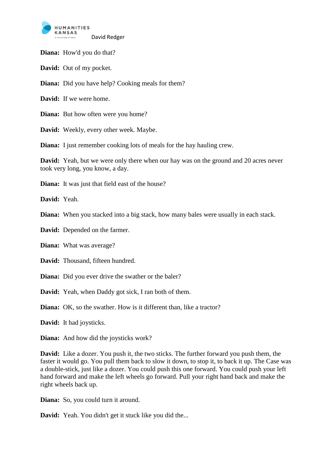

**Diana:** How'd you do that?

**David:** Out of my pocket.

**Diana:** Did you have help? Cooking meals for them?

**David:** If we were home.

**Diana:** But how often were you home?

**David:** Weekly, every other week. Maybe.

**Diana:** I just remember cooking lots of meals for the hay hauling crew.

**David:** Yeah, but we were only there when our hay was on the ground and 20 acres never took very long, you know, a day.

**Diana:** It was just that field east of the house?

**David:** Yeah.

**Diana:** When you stacked into a big stack, how many bales were usually in each stack.

**David:** Depended on the farmer.

**Diana:** What was average?

**David:** Thousand, fifteen hundred.

**Diana:** Did you ever drive the swather or the baler?

**David:** Yeah, when Daddy got sick, I ran both of them.

**Diana:** OK, so the swather. How is it different than, like a tractor?

**David:** It had joysticks.

**Diana:** And how did the joysticks work?

**David:** Like a dozer. You push it, the two sticks. The further forward you push them, the faster it would go. You pull them back to slow it down, to stop it, to back it up. The Case was a double-stick, just like a dozer. You could push this one forward. You could push your left hand forward and make the left wheels go forward. Pull your right hand back and make the right wheels back up.

**Diana:** So, you could turn it around.

**David:** Yeah. You didn't get it stuck like you did the...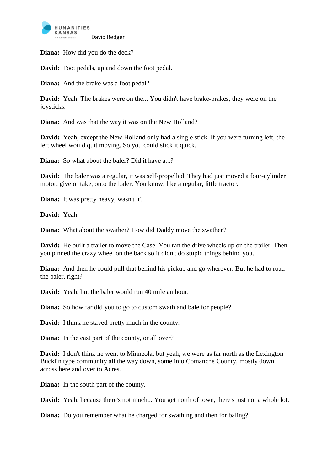

**Diana:** How did you do the deck?

**David:** Foot pedals, up and down the foot pedal.

**Diana:** And the brake was a foot pedal?

**David:** Yeah. The brakes were on the... You didn't have brake-brakes, they were on the joysticks.

**Diana:** And was that the way it was on the New Holland?

**David:** Yeah, except the New Holland only had a single stick. If you were turning left, the left wheel would quit moving. So you could stick it quick.

**Diana:** So what about the baler? Did it have a...?

**David:** The baler was a regular, it was self-propelled. They had just moved a four-cylinder motor, give or take, onto the baler. You know, like a regular, little tractor.

**Diana:** It was pretty heavy, wasn't it?

**David:** Yeah.

**Diana:** What about the swather? How did Daddy move the swather?

**David:** He built a trailer to move the Case. You ran the drive wheels up on the trailer. Then you pinned the crazy wheel on the back so it didn't do stupid things behind you.

**Diana:** And then he could pull that behind his pickup and go wherever. But he had to road the baler, right?

**David:** Yeah, but the baler would run 40 mile an hour.

**Diana:** So how far did you to go to custom swath and bale for people?

**David:** I think he stayed pretty much in the county.

**Diana:** In the east part of the county, or all over?

**David:** I don't think he went to Minneola, but yeah, we were as far north as the Lexington Bucklin type community all the way down, some into Comanche County, mostly down across here and over to Acres.

**Diana:** In the south part of the county.

**David:** Yeah, because there's not much... You get north of town, there's just not a whole lot.

**Diana:** Do you remember what he charged for swathing and then for baling?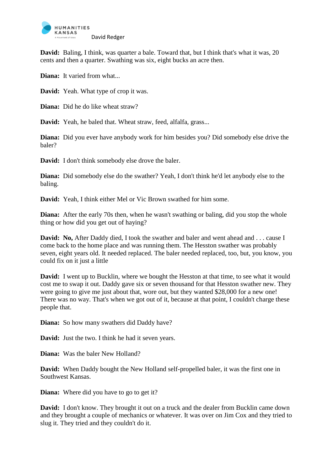

**David:** Baling, I think, was quarter a bale. Toward that, but I think that's what it was, 20 cents and then a quarter. Swathing was six, eight bucks an acre then.

**Diana:** It varied from what...

**David:** Yeah. What type of crop it was.

**Diana:** Did he do like wheat straw?

**David:** Yeah, he baled that. Wheat straw, feed, alfalfa, grass...

**Diana:** Did you ever have anybody work for him besides you? Did somebody else drive the baler?

**David:** I don't think somebody else drove the baler.

**Diana:** Did somebody else do the swather? Yeah, I don't think he'd let anybody else to the baling.

**David:** Yeah, I think either Mel or Vic Brown swathed for him some.

**Diana:** After the early 70s then, when he wasn't swathing or baling, did you stop the whole thing or how did you get out of haying?

David: No, After Daddy died, I took the swather and baler and went ahead and . . . cause I come back to the home place and was running them. The Hesston swather was probably seven, eight years old. It needed replaced. The baler needed replaced, too, but, you know, you could fix on it just a little

**David:** I went up to Bucklin, where we bought the Hesston at that time, to see what it would cost me to swap it out. Daddy gave six or seven thousand for that Hesston swather new. They were going to give me just about that, wore out, but they wanted \$28,000 for a new one! There was no way. That's when we got out of it, because at that point, I couldn't charge these people that.

**Diana:** So how many swathers did Daddy have?

**David:** Just the two. I think he had it seven years.

**Diana:** Was the baler New Holland?

**David:** When Daddy bought the New Holland self-propelled baler, it was the first one in Southwest Kansas.

**Diana:** Where did you have to go to get it?

**David:** I don't know. They brought it out on a truck and the dealer from Bucklin came down and they brought a couple of mechanics or whatever. It was over on Jim Cox and they tried to slug it. They tried and they couldn't do it.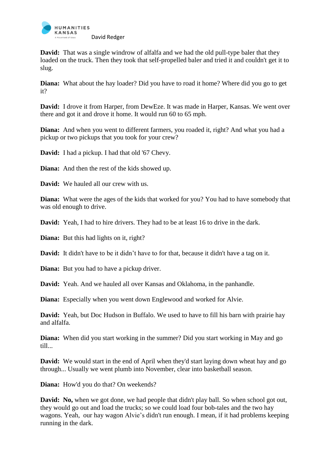

**David:** That was a single windrow of alfalfa and we had the old pull-type baler that they loaded on the truck. Then they took that self-propelled baler and tried it and couldn't get it to slug.

**Diana:** What about the hay loader? Did you have to road it home? Where did you go to get it?

**David:** I drove it from Harper, from DewEze. It was made in Harper, Kansas. We went over there and got it and drove it home. It would run 60 to 65 mph.

**Diana:** And when you went to different farmers, you roaded it, right? And what you had a pickup or two pickups that you took for your crew?

**David:** I had a pickup. I had that old '67 Chevy.

**Diana:** And then the rest of the kids showed up.

**David:** We hauled all our crew with us.

**Diana:** What were the ages of the kids that worked for you? You had to have somebody that was old enough to drive.

**David:** Yeah, I had to hire drivers. They had to be at least 16 to drive in the dark.

**Diana:** But this had lights on it, right?

**David:** It didn't have to be it didn't have to for that, because it didn't have a tag on it.

**Diana:** But you had to have a pickup driver.

**David:** Yeah. And we hauled all over Kansas and Oklahoma, in the panhandle.

**Diana:** Especially when you went down Englewood and worked for Alvie.

**David:** Yeah, but Doc Hudson in Buffalo. We used to have to fill his barn with prairie hay and alfalfa.

**Diana:** When did you start working in the summer? Did you start working in May and go till...

**David:** We would start in the end of April when they'd start laying down wheat hay and go through... Usually we went plumb into November, clear into basketball season.

**Diana:** How'd you do that? On weekends?

**David:** No, when we got done, we had people that didn't play ball. So when school got out, they would go out and load the trucks; so we could load four bob-tales and the two hay wagons. Yeah, our hay wagon Alvie's didn't run enough. I mean, if it had problems keeping running in the dark.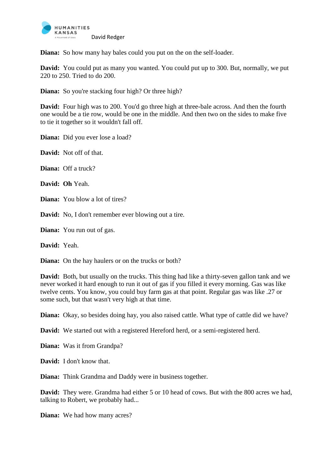

**Diana:** So how many hay bales could you put on the on the self-loader.

**David:** You could put as many you wanted. You could put up to 300. But, normally, we put 220 to 250. Tried to do 200.

**Diana:** So you're stacking four high? Or three high?

**David:** Four high was to 200. You'd go three high at three-bale across. And then the fourth one would be a tie row, would be one in the middle. And then two on the sides to make five to tie it together so it wouldn't fall off.

**Diana:** Did you ever lose a load?

**David:** Not off of that.

**Diana:** Off a truck?

**David: Oh** Yeah.

**Diana:** You blow a lot of tires?

**David:** No, I don't remember ever blowing out a tire.

**Diana:** You run out of gas.

**David:** Yeah.

**Diana:** On the hay haulers or on the trucks or both?

**David:** Both, but usually on the trucks. This thing had like a thirty-seven gallon tank and we never worked it hard enough to run it out of gas if you filled it every morning. Gas was like twelve cents. You know, you could buy farm gas at that point. Regular gas was like .27 or some such, but that wasn't very high at that time.

**Diana:** Okay, so besides doing hay, you also raised cattle. What type of cattle did we have?

**David:** We started out with a registered Hereford herd, or a semi-registered herd.

**Diana:** Was it from Grandpa?

**David:** I don't know that.

**Diana:** Think Grandma and Daddy were in business together.

**David:** They were. Grandma had either 5 or 10 head of cows. But with the 800 acres we had, talking to Robert, we probably had...

**Diana:** We had how many acres?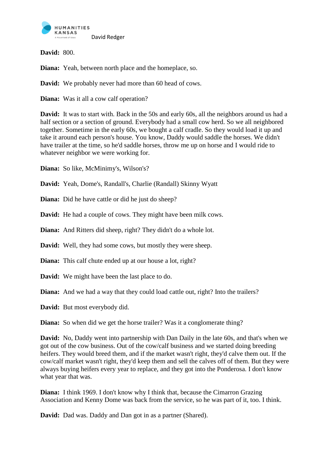

**David:** 800.

**Diana:** Yeah, between north place and the homeplace, so.

**David:** We probably never had more than 60 head of cows.

**Diana:** Was it all a cow calf operation?

**David:** It was to start with. Back in the 50s and early 60s, all the neighbors around us had a half section or a section of ground. Everybody had a small cow herd. So we all neighbored together. Sometime in the early 60s, we bought a calf cradle. So they would load it up and take it around each person's house. You know, Daddy would saddle the horses. We didn't have trailer at the time, so he'd saddle horses, throw me up on horse and I would ride to whatever neighbor we were working for.

**Diana:** So like, McMinimy's, Wilson's?

**David:** Yeah, Dome's, Randall's, Charlie (Randall) Skinny Wyatt

**Diana:** Did he have cattle or did he just do sheep?

**David:** He had a couple of cows. They might have been milk cows.

**Diana:** And Ritters did sheep, right? They didn't do a whole lot.

**David:** Well, they had some cows, but mostly they were sheep.

**Diana:** This calf chute ended up at our house a lot, right?

**David:** We might have been the last place to do.

**Diana:** And we had a way that they could load cattle out, right? Into the trailers?

**David:** But most everybody did.

**Diana:** So when did we get the horse trailer? Was it a conglomerate thing?

**David:** No, Daddy went into partnership with Dan Daily in the late 60s, and that's when we got out of the cow business. Out of the cow/calf business and we started doing breeding heifers. They would breed them, and if the market wasn't right, they'd calve them out. If the cow/calf market wasn't right, they'd keep them and sell the calves off of them. But they were always buying heifers every year to replace, and they got into the Ponderosa. I don't know what year that was.

**Diana:** I think 1969. I don't know why I think that, because the Cimarron Grazing Association and Kenny Dome was back from the service, so he was part of it, too. I think.

**David:** Dad was. Daddy and Dan got in as a partner (Shared).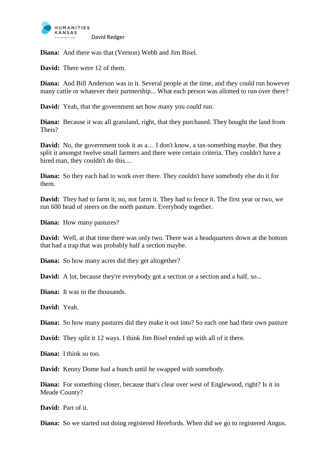

**Diana:** And there was that (Vernon) Webb and Jim Bisel.

**David:** There were 12 of them.

**Diana:** And Bill Anderson was in it. Several people at the time, and they could run however many cattle or whatever their partnership... What each person was allotted to run over there?

**David:** Yeah, that the government set how many you could run.

**Diana:** Because it was all grassland, right, that they purchased. They bought the land from Theis?

**David:** No, the government took it as a... I don't know, a tax-something maybe. But they split it amongst twelve small farmers and there were certain criteria. They couldn't have a hired man, they couldn't do this....

**Diana:** So they each had to work over there. They couldn't have somebody else do it for them.

**David:** They had to farm it, no, not farm it. They had to fence it. The first year or two, we run 600 head of steers on the north pasture. Everybody together.

**Diana:** How many pastures?

**David:** Well, at that time there was only two. There was a headquarters down at the bottom that had a trap that was probably half a section maybe.

**Diana:** So how many acres did they get altogether?

**David:** A lot, because they're everybody got a section or a section and a half, so...

**Diana:** It was in the thousands.

**David:** Yeah.

**Diana:** So how many pastures did they make it out into? So each one had their own pasture

**David:** They split it 12 ways. I think Jim Bisel ended up with all of it there.

**Diana:** I think so too.

**David:** Kenny Dome had a bunch until he swapped with somebody.

**Diana:** For something closer, because that's clear over west of Englewood, right? Is it in Meade County?

**David:** Part of it.

**Diana:** So we started out doing registered Herefords. When did we go to registered Angus.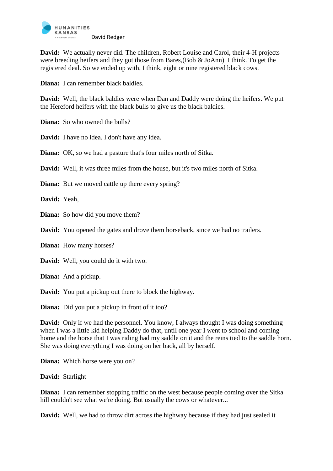

**David:** We actually never did. The children, Robert Louise and Carol, their 4-H projects were breeding heifers and they got those from Bares,(Bob & JoAnn) I think. To get the registered deal. So we ended up with, I think, eight or nine registered black cows.

**Diana:** I can remember black baldies.

**David:** Well, the black baldies were when Dan and Daddy were doing the heifers. We put the Hereford heifers with the black bulls to give us the black baldies.

**Diana:** So who owned the bulls?

**David:** I have no idea. I don't have any idea.

**Diana:** OK, so we had a pasture that's four miles north of Sitka.

**David:** Well, it was three miles from the house, but it's two miles north of Sitka.

**Diana:** But we moved cattle up there every spring?

**David:** Yeah,

**Diana:** So how did you move them?

**David:** You opened the gates and drove them horseback, since we had no trailers.

**Diana:** How many horses?

**David:** Well, you could do it with two.

**Diana:** And a pickup.

**David:** You put a pickup out there to block the highway.

**Diana:** Did you put a pickup in front of it too?

**David:** Only if we had the personnel. You know, I always thought I was doing something when I was a little kid helping Daddy do that, until one year I went to school and coming home and the horse that I was riding had my saddle on it and the reins tied to the saddle horn. She was doing everything I was doing on her back, all by herself.

**Diana:** Which horse were you on?

**David:** Starlight

**Diana:** I can remember stopping traffic on the west because people coming over the Sitka hill couldn't see what we're doing. But usually the cows or whatever...

**David:** Well, we had to throw dirt across the highway because if they had just sealed it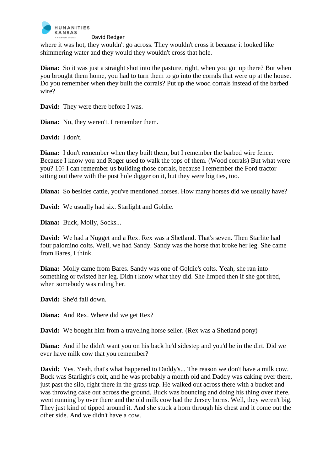

where it was hot, they wouldn't go across. They wouldn't cross it because it looked like shimmering water and they would they wouldn't cross that hole.

**Diana:** So it was just a straight shot into the pasture, right, when you got up there? But when you brought them home, you had to turn them to go into the corrals that were up at the house. Do you remember when they built the corrals? Put up the wood corrals instead of the barbed wire?

**David:** They were there before I was.

**Diana:** No, they weren't. I remember them.

**David:** I don't.

**Diana:** I don't remember when they built them, but I remember the barbed wire fence. Because I know you and Roger used to walk the tops of them. (Wood corrals) But what were you? 10? I can remember us building those corrals, because I remember the Ford tractor sitting out there with the post hole digger on it, but they were big ties, too.

**Diana:** So besides cattle, you've mentioned horses. How many horses did we usually have?

**David:** We usually had six. Starlight and Goldie.

**Diana:** Buck, Molly, Socks...

**David:** We had a Nugget and a Rex. Rex was a Shetland. That's seven. Then Starlite had four palomino colts. Well, we had Sandy. Sandy was the horse that broke her leg. She came from Bares, I think.

**Diana:** Molly came from Bares. Sandy was one of Goldie's colts. Yeah, she ran into something or twisted her leg. Didn't know what they did. She limped then if she got tired, when somebody was riding her.

**David:** She'd fall down.

**Diana:** And Rex. Where did we get Rex?

**David:** We bought him from a traveling horse seller. (Rex was a Shetland pony)

**Diana:** And if he didn't want you on his back he'd sidestep and you'd be in the dirt. Did we ever have milk cow that you remember?

**David:** Yes. Yeah, that's what happened to Daddy's... The reason we don't have a milk cow. Buck was Starlight's colt, and he was probably a month old and Daddy was caking over there, just past the silo, right there in the grass trap. He walked out across there with a bucket and was throwing cake out across the ground. Buck was bouncing and doing his thing over there, went running by over there and the old milk cow had the Jersey horns. Well, they weren't big. They just kind of tipped around it. And she stuck a horn through his chest and it come out the other side. And we didn't have a cow.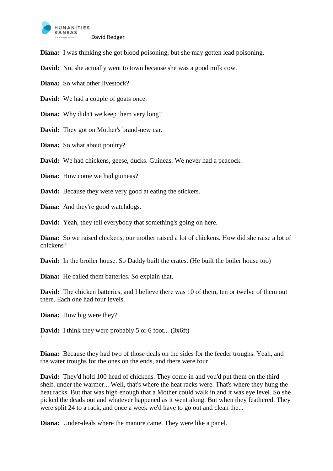

**Diana:** I was thinking she got blood poisoning, but she may gotten lead poisoning.

**David:** No, she actually went to town because she was a good milk cow.

**Diana:** So what other livestock?

**David:** We had a couple of goats once.

**Diana:** Why didn't we keep them very long?

**David:** They got on Mother's brand-new car.

**Diana:** So what about poultry?

**David:** We had chickens, geese, ducks. Guineas. We never had a peacock.

**Diana:** How come we had guineas?

**David:** Because they were very good at eating the stickers.

**Diana:** And they're good watchdogs.

**David:** Yeah, they tell everybody that something's going on here.

**Diana:** So we raised chickens, our mother raised a lot of chickens. How did she raise a lot of chickens?

**David:** In the broiler house. So Daddy built the crates. (He built the boiler house too)

**Diana:** He called them batteries. So explain that.

**David:** The chicken batteries, and I believe there was 10 of them, ten or twelve of them out there. Each one had four levels.

**Diana:** How big were they?

 $\ddot{\phantom{0}}$ 

**David:** I think they were probably 5 or 6 foot... (3x6ft)

**Diana:** Because they had two of those deals on the sides for the feeder troughs. Yeah, and the water troughs for the ones on the ends, and there were four.

**David:** They'd hold 100 head of chickens. They come in and you'd put them on the third shelf. under the warmer... Well, that's where the heat racks were. That's where they hung the heat racks. But that was high enough that a Mother could walk in and it was eye level. So she picked the deads out and whatever happened as it went along. But when they feathered. They were split 24 to a rack, and once a week we'd have to go out and clean the...

**Diana:** Under-deals where the manure came. They were like a panel.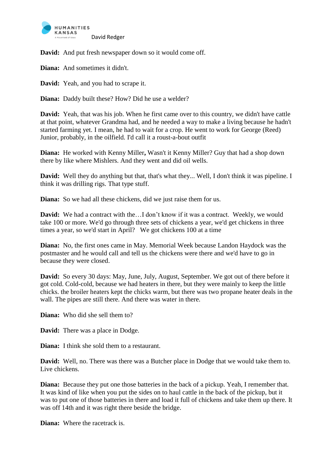

**David:** And put fresh newspaper down so it would come off.

**Diana:** And sometimes it didn't.

**David:** Yeah, and you had to scrape it.

**Diana:** Daddy built these? How? Did he use a welder?

**David:** Yeah, that was his job. When he first came over to this country, we didn't have cattle at that point, whatever Grandma had, and he needed a way to make a living because he hadn't started farming yet. I mean, he had to wait for a crop. He went to work for George (Reed) Junior, probably, in the oilfield. I'd call it a roust-a-bout outfit

**Diana:** He worked with Kenny Miller**,** Wasn't it Kenny Miller? Guy that had a shop down there by like where Mishlers. And they went and did oil wells.

**David:** Well they do anything but that, that's what they... Well, I don't think it was pipeline. I think it was drilling rigs. That type stuff.

**Diana:** So we had all these chickens, did we just raise them for us.

**David:** We had a contract with the...I don't know if it was a contract. Weekly, we would take 100 or more. We'd go through three sets of chickens a year, we'd get chickens in three times a year, so we'd start in April? We got chickens 100 at a time

**Diana:** No, the first ones came in May. Memorial Week because Landon Haydock was the postmaster and he would call and tell us the chickens were there and we'd have to go in because they were closed.

**David:** So every 30 days: May, June, July, August, September. We got out of there before it got cold. Cold-cold, because we had heaters in there, but they were mainly to keep the little chicks. the broiler heaters kept the chicks warm, but there was two propane heater deals in the wall. The pipes are still there. And there was water in there.

**Diana:** Who did she sell them to?

**David:** There was a place in Dodge.

**Diana:** I think she sold them to a restaurant.

**David:** Well, no. There was there was a Butcher place in Dodge that we would take them to. Live chickens.

**Diana:** Because they put one those batteries in the back of a pickup. Yeah, I remember that. It was kind of like when you put the sides on to haul cattle in the back of the pickup, but it was to put one of those batteries in there and load it full of chickens and take them up there. It was off 14th and it was right there beside the bridge.

**Diana:** Where the racetrack is.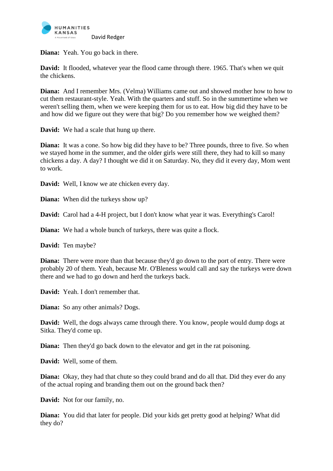

**Diana:** Yeah. You go back in there.

**David:** It flooded, whatever year the flood came through there. 1965. That's when we quit the chickens.

**Diana:** And I remember Mrs. (Velma) Williams came out and showed mother how to how to cut them restaurant-style. Yeah. With the quarters and stuff. So in the summertime when we weren't selling them, when we were keeping them for us to eat. How big did they have to be and how did we figure out they were that big? Do you remember how we weighed them?

**David:** We had a scale that hung up there.

**Diana:** It was a cone. So how big did they have to be? Three pounds, three to five. So when we stayed home in the summer, and the older girls were still there, they had to kill so many chickens a day. A day? I thought we did it on Saturday. No, they did it every day, Mom went to work.

**David:** Well, I know we ate chicken every day.

**Diana:** When did the turkeys show up?

**David:** Carol had a 4-H project, but I don't know what year it was. Everything's Carol!

**Diana:** We had a whole bunch of turkeys, there was quite a flock.

**David:** Ten maybe?

**Diana:** There were more than that because they'd go down to the port of entry. There were probably 20 of them. Yeah, because Mr. O'Bleness would call and say the turkeys were down there and we had to go down and herd the turkeys back.

**David:** Yeah. I don't remember that.

**Diana:** So any other animals? Dogs.

**David:** Well, the dogs always came through there. You know, people would dump dogs at Sitka. They'd come up.

**Diana:** Then they'd go back down to the elevator and get in the rat poisoning.

**David:** Well, some of them.

**Diana:** Okay, they had that chute so they could brand and do all that. Did they ever do any of the actual roping and branding them out on the ground back then?

**David:** Not for our family, no.

**Diana:** You did that later for people. Did your kids get pretty good at helping? What did they do?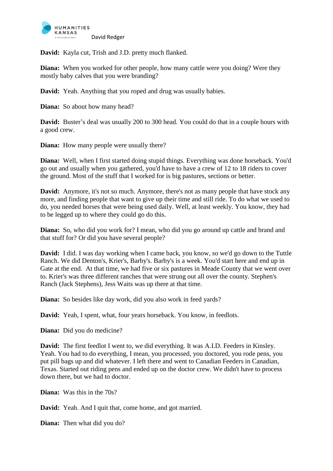

**David:** Kayla cut, Trish and J.D. pretty much flanked.

**Diana:** When you worked for other people, how many cattle were you doing? Were they mostly baby calves that you were branding?

**David:** Yeah. Anything that you roped and drug was usually babies.

**Diana:** So about how many head?

**David:** Buster's deal was usually 200 to 300 head. You could do that in a couple hours with a good crew.

**Diana:** How many people were usually there?

**Diana:** Well, when I first started doing stupid things. Everything was done horseback. You'd go out and usually when you gathered, you'd have to have a crew of 12 to 18 riders to cover the ground. Most of the stuff that I worked for is big pastures, sections or better.

**David:** Anymore, it's not so much. Anymore, there's not as many people that have stock any more, and finding people that want to give up their time and still ride. To do what we used to do, you needed horses that were being used daily. Well, at least weekly. You know, they had to be legged up to where they could go do this.

**Diana:** So, who did you work for? I mean, who did you go around up cattle and brand and that stuff for? Or did you have several people?

**David:** I did. I was day working when I came back, you know, so we'd go down to the Tuttle Ranch. We did Denton's, Krier's, Barby's. Barby's is a week. You'd start here and end up in Gate at the end. At that time, we had five or six pastures in Meade County that we went over to. Krier's was three different ranches that were strung out all over the county. Stephen's Ranch (Jack Stephens), Jess Waits was up there at that time.

**Diana:** So besides like day work, did you also work in feed yards?

**David:** Yeah, I spent, what, four years horseback. You know, in feedlots.

**Diana:** Did you do medicine?

**David:** The first feedlot I went to, we did everything. It was A.I.D. Feeders in Kinsley. Yeah. You had to do everything, I mean, you processed, you doctored, you rode pens, you put pill bags up and did whatever. I left there and went to Canadian Feeders in Canadian, Texas. Started out riding pens and ended up on the doctor crew. We didn't have to process down there, but we had to doctor.

**Diana:** Was this in the 70s?

**David:** Yeah. And I quit that, come home, and got married.

**Diana:** Then what did you do?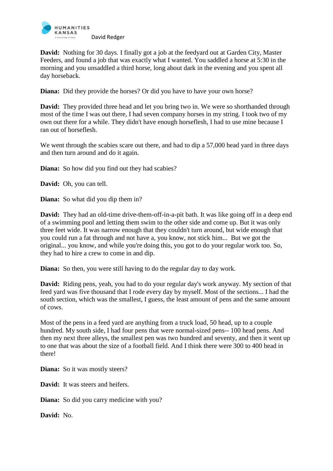

**David:** Nothing for 30 days. I finally got a job at the feedyard out at Garden City, Master Feeders, and found a job that was exactly what I wanted. You saddled a horse at 5:30 in the morning and you unsaddled a third horse, long about dark in the evening and you spent all day horseback.

**Diana:** Did they provide the horses? Or did you have to have your own horse?

**David:** They provided three head and let you bring two in. We were so shorthanded through most of the time I was out there, I had seven company horses in my string. I took two of my own out there for a while. They didn't have enough horseflesh, I had to use mine because I ran out of horseflesh.

We went through the scabies scare out there, and had to dip a 57,000 head yard in three days and then turn around and do it again.

**Diana:** So how did you find out they had scabies?

**David:** Oh, you can tell.

**Diana:** So what did you dip them in?

**David:** They had an old-time drive-them-off-in-a-pit bath. It was like going off in a deep end of a swimming pool and letting them swim to the other side and come up. But it was only three feet wide. It was narrow enough that they couldn't turn around, but wide enough that you could run a fat through and not have a, you know, not stick him... But we got the original... you know, and while you're doing this, you got to do your regular work too. So, they had to hire a crew to come in and dip.

**Diana:** So then, you were still having to do the regular day to day work.

**David:** Riding pens, yeah, you had to do your regular day's work anyway. My section of that feed yard was five thousand that I rode every day by myself. Most of the sections... I had the south section, which was the smallest, I guess, the least amount of pens and the same amount of cows.

Most of the pens in a feed yard are anything from a truck load, 50 head, up to a couple hundred. My south side, I had four pens that were normal-sized pens-- 100 head pens. And then my next three alleys, the smallest pen was two hundred and seventy, and then it went up to one that was about the size of a football field. And I think there were 300 to 400 head in there!

**Diana:** So it was mostly steers?

**David:** It was steers and heifers.

**Diana:** So did you carry medicine with you?

**David:** No.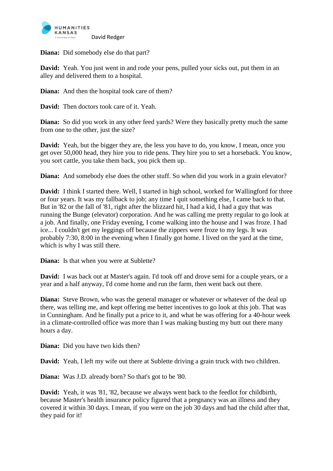

**Diana:** Did somebody else do that part?

**David:** Yeah. You just went in and rode your pens, pulled your sicks out, put them in an alley and delivered them to a hospital.

**Diana:** And then the hospital took care of them?

**David:** Then doctors took care of it. Yeah.

**Diana:** So did you work in any other feed yards? Were they basically pretty much the same from one to the other, just the size?

**David:** Yeah, but the bigger they are, the less you have to do, you know, I mean, once you get over 50,000 head, they hire you to ride pens. They hire you to set a horseback. You know, you sort cattle, you take them back, you pick them up.

**Diana:** And somebody else does the other stuff. So when did you work in a grain elevator?

**David:** I think I started there. Well, I started in high school, worked for Wallingford for three or four years. It was my fallback to job; any time I quit something else, I came back to that. But in '82 or the fall of '81, right after the blizzard hit, I had a kid, I had a guy that was running the Bunge (elevator) corporation. And he was calling me pretty regular to go look at a job. And finally, one Friday evening, I come walking into the house and I was froze. I had ice... I couldn't get my leggings off because the zippers were froze to my legs. It was probably 7:30, 8:00 in the evening when I finally got home. I lived on the yard at the time, which is why I was still there.

**Diana:** Is that when you were at Sublette?

**David:** I was back out at Master's again. I'd took off and drove semi for a couple years, or a year and a half anyway, I'd come home and run the farm, then went back out there.

**Diana:** Steve Brown, who was the general manager or whatever or whatever of the deal up there, was telling me, and kept offering me better incentives to go look at this job. That was in Cunningham. And he finally put a price to it, and what he was offering for a 40-hour week in a climate-controlled office was more than I was making busting my butt out there many hours a day.

**Diana:** Did you have two kids then?

**David:** Yeah, I left my wife out there at Sublette driving a grain truck with two children.

**Diana:** Was J.D. already born? So that's got to be '80.

**David:** Yeah, it was '81, '82, because we always went back to the feedlot for childbirth, because Master's health insurance policy figured that a pregnancy was an illness and they covered it within 30 days. I mean, if you were on the job 30 days and had the child after that, they paid for it!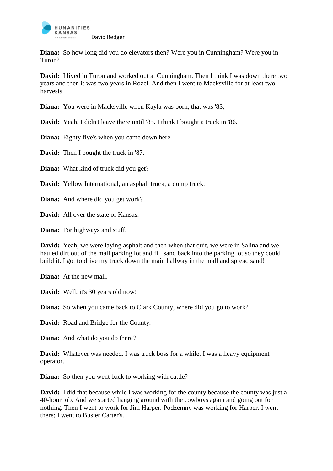

**Diana:** So how long did you do elevators then? Were you in Cunningham? Were you in Turon?

**David:** I lived in Turon and worked out at Cunningham. Then I think I was down there two years and then it was two years in Rozel. And then I went to Macksville for at least two harvests.

**Diana:** You were in Macksville when Kayla was born, that was '83,

**David:** Yeah, I didn't leave there until '85. I think I bought a truck in '86.

**Diana:** Eighty five's when you came down here.

**David:** Then I bought the truck in '87.

**Diana:** What kind of truck did you get?

**David:** Yellow International, an asphalt truck, a dump truck.

**Diana:** And where did you get work?

**David:** All over the state of Kansas.

**Diana:** For highways and stuff.

**David:** Yeah, we were laying asphalt and then when that quit, we were in Salina and we hauled dirt out of the mall parking lot and fill sand back into the parking lot so they could build it. I got to drive my truck down the main hallway in the mall and spread sand!

**Diana:** At the new mall.

**David:** Well, it's 30 years old now!

**Diana:** So when you came back to Clark County, where did you go to work?

**David:** Road and Bridge for the County.

**Diana:** And what do you do there?

**David:** Whatever was needed. I was truck boss for a while. I was a heavy equipment operator.

**Diana:** So then you went back to working with cattle?

**David:** I did that because while I was working for the county because the county was just a 40-hour job. And we started hanging around with the cowboys again and going out for nothing. Then I went to work for Jim Harper. Podzemny was working for Harper. I went there; I went to Buster Carter's.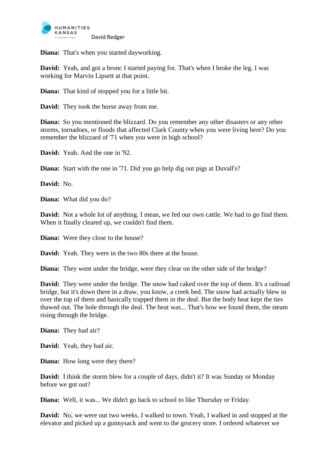

**Diana:** That's when you started dayworking.

**David:** Yeah, and got a bronc I started paying for. That's when I broke the leg. I was working for Marvin Lipsett at that point.

**Diana:** That kind of stopped you for a little bit.

**David:** They took the horse away from me.

**Diana:** So you mentioned the blizzard. Do you remember any other disasters or any other storms, tornadoes, or floods that affected Clark County when you were living here? Do you remember the blizzard of '71 when you were in high school?

**David:** Yeah. And the one in '92.

**Diana:** Start with the one in '71. Did you go help dig out pigs at Duvall's?

**David:** No.

**Diana:** What did you do?

**David:** Not a whole lot of anything. I mean, we fed our own cattle. We had to go find them. When it finally cleared up, we couldn't find them.

**Diana:** Were they close to the house?

**David:** Yeah. They were in the two 80s there at the house.

**Diana:** They went under the bridge, were they clear on the other side of the bridge?

**David:** They were under the bridge. The snow had caked over the top of them. It's a railroad bridge, but it's down there in a draw, you know, a creek bed. The snow had actually blew in over the top of them and basically trapped them in the deal. But the body heat kept the ties thawed out. The hole through the deal. The heat was... That's how we found them, the steam rising through the bridge.

**Diana:** They had air?

**David:** Yeah, they had air.

**Diana:** How long were they there?

**David:** I think the storm blew for a couple of days, didn't it? It was Sunday or Monday before we got out?

**Diana:** Well, it was... We didn't go back to school to like Thursday or Friday.

**David:** No, we were out two weeks. I walked to town. Yeah, I walked in and stopped at the elevator and picked up a gunnysack and went to the grocery store. I ordered whatever we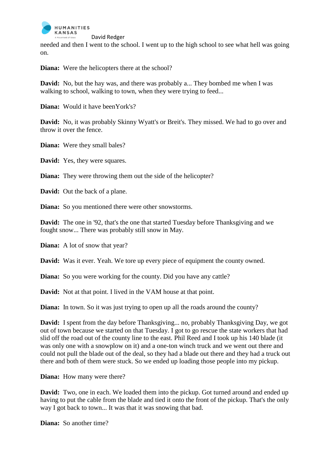

needed and then I went to the school. I went up to the high school to see what hell was going on.

**Diana:** Were the helicopters there at the school?

**David:** No, but the hay was, and there was probably a... They bombed me when I was walking to school, walking to town, when they were trying to feed...

**Diana:** Would it have been York's?

**David:** No, it was probably Skinny Wyatt's or Breit's. They missed. We had to go over and throw it over the fence.

**Diana:** Were they small bales?

**David:** Yes, they were squares.

**Diana:** They were throwing them out the side of the helicopter?

**David:** Out the back of a plane.

**Diana:** So you mentioned there were other snowstorms.

**David:** The one in '92, that's the one that started Tuesday before Thanksgiving and we fought snow... There was probably still snow in May.

**Diana:** A lot of snow that year?

**David:** Was it ever. Yeah. We tore up every piece of equipment the county owned.

**Diana:** So you were working for the county. Did you have any cattle?

**David:** Not at that point. I lived in the VAM house at that point.

**Diana:** In town. So it was just trying to open up all the roads around the county?

**David:** I spent from the day before Thanksgiving... no, probably Thanksgiving Day, we got out of town because we started on that Tuesday. I got to go rescue the state workers that had slid off the road out of the county line to the east. Phil Reed and I took up his 140 blade (it was only one with a snowplow on it) and a one-ton winch truck and we went out there and could not pull the blade out of the deal, so they had a blade out there and they had a truck out there and both of them were stuck. So we ended up loading those people into my pickup.

**Diana:** How many were there?

**David:** Two, one in each. We loaded them into the pickup. Got turned around and ended up having to put the cable from the blade and tied it onto the front of the pickup. That's the only way I got back to town... It was that it was snowing that bad.

**Diana:** So another time?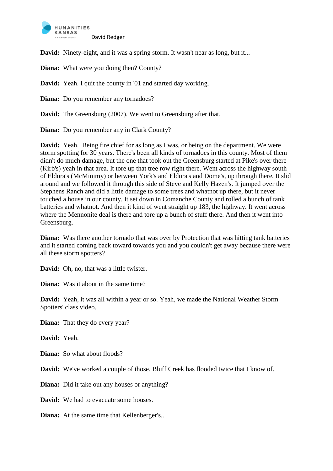

**David:** Ninety-eight, and it was a spring storm. It wasn't near as long, but it...

**Diana:** What were you doing then? County?

**David:** Yeah. I quit the county in '01 and started day working.

**Diana:** Do you remember any tornadoes?

**David:** The Greensburg (2007). We went to Greensburg after that.

**Diana:** Do you remember any in Clark County?

**David:** Yeah. Being fire chief for as long as I was, or being on the department. We were storm spotting for 30 years. There's been all kinds of tornadoes in this county. Most of them didn't do much damage, but the one that took out the Greensburg started at Pike's over there (Kirb's) yeah in that area. It tore up that tree row right there. Went across the highway south of Eldora's (McMinimy) or between York's and Eldora's and Dome's, up through there. It slid around and we followed it through this side of Steve and Kelly Hazen's. It jumped over the Stephens Ranch and did a little damage to some trees and whatnot up there, but it never touched a house in our county. It set down in Comanche County and rolled a bunch of tank batteries and whatnot. And then it kind of went straight up 183, the highway. It went across where the Mennonite deal is there and tore up a bunch of stuff there. And then it went into Greensburg.

**Diana:** Was there another tornado that was over by Protection that was hitting tank batteries and it started coming back toward towards you and you couldn't get away because there were all these storm spotters?

**David:** Oh, no, that was a little twister.

**Diana:** Was it about in the same time?

**David:** Yeah, it was all within a year or so. Yeah, we made the National Weather Storm Spotters' class video.

**Diana:** That they do every year?

**David:** Yeah.

**Diana:** So what about floods?

**David:** We've worked a couple of those. Bluff Creek has flooded twice that I know of.

**Diana:** Did it take out any houses or anything?

**David:** We had to evacuate some houses.

**Diana:** At the same time that Kellenberger's...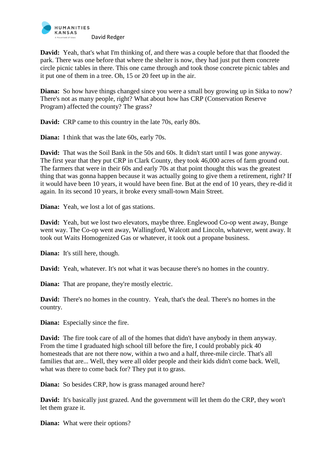

**David:** Yeah, that's what I'm thinking of, and there was a couple before that that flooded the park. There was one before that where the shelter is now, they had just put them concrete circle picnic tables in there. This one came through and took those concrete picnic tables and it put one of them in a tree. Oh, 15 or 20 feet up in the air.

**Diana:** So how have things changed since you were a small boy growing up in Sitka to now? There's not as many people, right? What about how has CRP (Conservation Reserve Program) affected the county? The grass?

**David:** CRP came to this country in the late 70s, early 80s.

**Diana:** I think that was the late 60s, early 70s.

**David:** That was the Soil Bank in the 50s and 60s. It didn't start until I was gone anyway. The first year that they put CRP in Clark County, they took 46,000 acres of farm ground out. The farmers that were in their 60s and early 70s at that point thought this was the greatest thing that was gonna happen because it was actually going to give them a retirement, right? If it would have been 10 years, it would have been fine. But at the end of 10 years, they re-did it again. In its second 10 years, it broke every small-town Main Street.

**Diana:** Yeah, we lost a lot of gas stations.

**David:** Yeah, but we lost two elevators, maybe three. Englewood Co-op went away, Bunge went way. The Co-op went away, Wallingford, Walcott and Lincoln, whatever, went away. It took out Waits Homogenized Gas or whatever, it took out a propane business.

**Diana:** It's still here, though.

**David:** Yeah, whatever. It's not what it was because there's no homes in the country.

**Diana:** That are propane, they're mostly electric.

**David:** There's no homes in the country. Yeah, that's the deal. There's no homes in the country.

**Diana:** Especially since the fire.

**David:** The fire took care of all of the homes that didn't have anybody in them anyway. From the time I graduated high school till before the fire, I could probably pick 40 homesteads that are not there now, within a two and a half, three-mile circle. That's all families that are... Well, they were all older people and their kids didn't come back. Well, what was there to come back for? They put it to grass.

**Diana:** So besides CRP, how is grass managed around here?

**David:** It's basically just grazed. And the government will let them do the CRP, they won't let them graze it.

**Diana:** What were their options?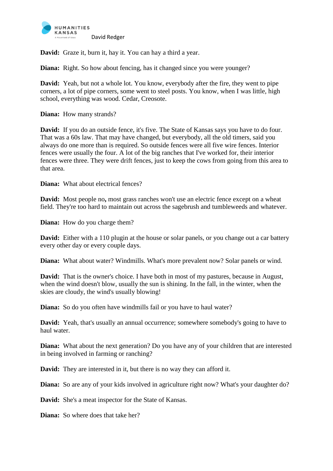

**David:** Graze it, burn it, hay it. You can hay a third a year.

**Diana:** Right. So how about fencing, has it changed since you were younger?

**David:** Yeah, but not a whole lot. You know, everybody after the fire, they went to pipe corners, a lot of pipe corners, some went to steel posts. You know, when I was little, high school, everything was wood. Cedar, Creosote.

**Diana:** How many strands?

**David:** If you do an outside fence, it's five. The State of Kansas says you have to do four. That was a 60s law. That may have changed, but everybody, all the old timers, said you always do one more than is required. So outside fences were all five wire fences. Interior fences were usually the four. A lot of the big ranches that I've worked for, their interior fences were three. They were drift fences, just to keep the cows from going from this area to that area.

**Diana:** What about electrical fences?

**David:** Most people no**,** most grass ranches won't use an electric fence except on a wheat field. They're too hard to maintain out across the sagebrush and tumbleweeds and whatever.

**Diana:** How do you charge them?

**David:** Either with a 110 plugin at the house or solar panels, or you change out a car battery every other day or every couple days.

**Diana:** What about water? Windmills. What's more prevalent now? Solar panels or wind.

**David:** That is the owner's choice. I have both in most of my pastures, because in August, when the wind doesn't blow, usually the sun is shining. In the fall, in the winter, when the skies are cloudy, the wind's usually blowing!

**Diana:** So do you often have windmills fail or you have to haul water?

**David:** Yeah, that's usually an annual occurrence; somewhere somebody's going to have to haul water.

**Diana:** What about the next generation? Do you have any of your children that are interested in being involved in farming or ranching?

**David:** They are interested in it, but there is no way they can afford it.

**Diana:** So are any of your kids involved in agriculture right now? What's your daughter do?

**David:** She's a meat inspector for the State of Kansas.

**Diana:** So where does that take her?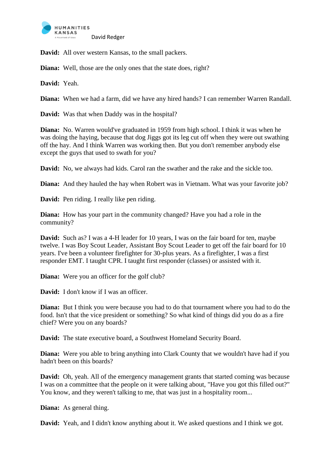

**David:** All over western Kansas, to the small packers.

**Diana:** Well, those are the only ones that the state does, right?

**David:** Yeah.

**Diana:** When we had a farm, did we have any hired hands? I can remember Warren Randall.

**David:** Was that when Daddy was in the hospital?

**Diana:** No. Warren would've graduated in 1959 from high school. I think it was when he was doing the haying, because that dog Jiggs got its leg cut off when they were out swathing off the hay. And I think Warren was working then. But you don't remember anybody else except the guys that used to swath for you?

**David:** No, we always had kids. Carol ran the swather and the rake and the sickle too.

**Diana:** And they hauled the hay when Robert was in Vietnam. What was your favorite job?

**David:** Pen riding. I really like pen riding.

**Diana:** How has your part in the community changed? Have you had a role in the community?

**David:** Such as? I was a 4-H leader for 10 years, I was on the fair board for ten, maybe twelve. I was Boy Scout Leader, Assistant Boy Scout Leader to get off the fair board for 10 years. I've been a volunteer firefighter for 30-plus years. As a firefighter, I was a first responder EMT. I taught CPR. I taught first responder (classes) or assisted with it.

**Diana:** Were you an officer for the golf club?

**David:** I don't know if I was an officer.

**Diana:** But I think you were because you had to do that tournament where you had to do the food. Isn't that the vice president or something? So what kind of things did you do as a fire chief? Were you on any boards?

**David:** The state executive board, a Southwest Homeland Security Board.

**Diana:** Were you able to bring anything into Clark County that we wouldn't have had if you hadn't been on this boards?

**David:** Oh, yeah. All of the emergency management grants that started coming was because I was on a committee that the people on it were talking about, "Have you got this filled out?" You know, and they weren't talking to me, that was just in a hospitality room...

**Diana:** As general thing.

**David:** Yeah, and I didn't know anything about it. We asked questions and I think we got.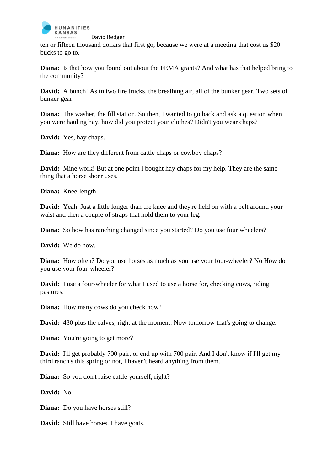

ten or fifteen thousand dollars that first go, because we were at a meeting that cost us \$20 bucks to go to.

**Diana:** Is that how you found out about the FEMA grants? And what has that helped bring to the community?

**David:** A bunch! As in two fire trucks, the breathing air, all of the bunker gear. Two sets of bunker gear.

**Diana:** The washer, the fill station. So then, I wanted to go back and ask a question when you were hauling hay, how did you protect your clothes? Didn't you wear chaps?

**David:** Yes, hay chaps.

**Diana:** How are they different from cattle chaps or cowboy chaps?

**David:** Mine work! But at one point I bought hay chaps for my help. They are the same thing that a horse shoer uses.

**Diana:** Knee-length.

**David:** Yeah. Just a little longer than the knee and they're held on with a belt around your waist and then a couple of straps that hold them to your leg.

**Diana:** So how has ranching changed since you started? Do you use four wheelers?

**David:** We do now.

**Diana:** How often? Do you use horses as much as you use your four-wheeler? No How do you use your four-wheeler?

**David:** I use a four-wheeler for what I used to use a horse for, checking cows, riding pastures.

**Diana:** How many cows do you check now?

**David:** 430 plus the calves, right at the moment. Now tomorrow that's going to change.

**Diana:** You're going to get more?

**David:** I'll get probably 700 pair, or end up with 700 pair. And I don't know if I'll get my third ranch's this spring or not, I haven't heard anything from them.

**Diana:** So you don't raise cattle yourself, right?

**David:** No.

**Diana:** Do you have horses still?

**David:** Still have horses. I have goats.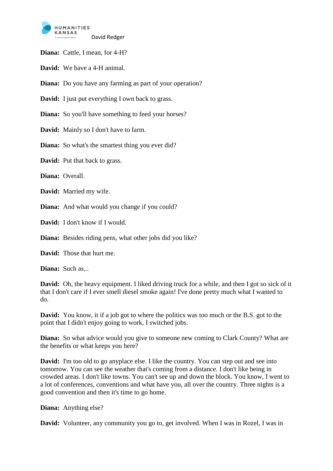

**Diana:** Cattle, I mean, for 4-H?

**David:** We have a 4-H animal.

**Diana:** Do you have any farming as part of your operation?

**David:** I just put everything I own back to grass.

**Diana:** So you'll have something to feed your horses?

**David:** Mainly so I don't have to farm.

**Diana:** So what's the smartest thing you ever did?

**David:** Put that back to grass.

**Diana:** Overall.

**David:** Married my wife.

**Diana:** And what would you change if you could?

**David:** I don't know if I would.

**Diana:** Besides riding pens, what other jobs did you like?

**David:** Those that hurt me.

**Diana:** Such as...

**David:** Oh, the heavy equipment. I liked driving truck for a while, and then I got so sick of it that I don't care if I ever smell diesel smoke again! I've done pretty much what I wanted to do.

**David:** You know, it if a job got to where the politics was too much or the B.S. got to the point that I didn't enjoy going to work, I switched jobs.

**Diana:** So what advice would you give to someone new coming to Clark County? What are the benefits or what keeps you here?

**David:** I'm too old to go anyplace else. I like the country. You can step out and see into tomorrow. You can see the weather that's coming from a distance. I don't like being in crowded areas. I don't like towns. You can't see up and down the block. You know, I went to a lot of conferences, conventions and what have you, all over the country. Three nights is a good convention and then it's time to go home.

**Diana:** Anything else?

**David:** Volunteer, any community you go to, get involved. When I was in Rozel, I was in